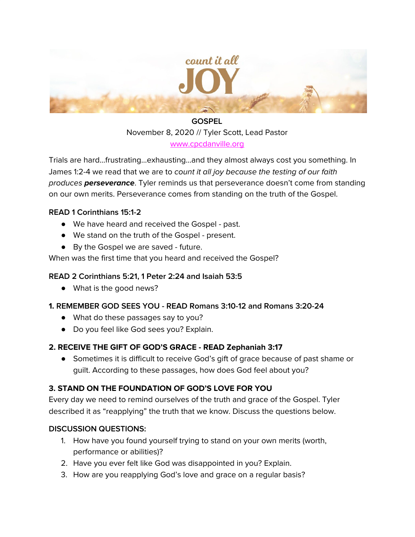

# **GOSPEL** November 8, 2020 // Tyler Scott, Lead Pastor

[www.cpcdanville.org](http://www.cpcdanville.org/)

Trials are hard...frustrating...exhausting...and they almost always cost you something. In James 1:2-4 we read that we are to count it all joy because the testing of our faith produces **perseverance**. Tyler reminds us that perseverance doesn't come from standing on our own merits. Perseverance comes from standing on the truth of the Gospel.

### **READ 1 Corinthians 15:1-2**

- We have heard and received the Gospel past.
- We stand on the truth of the Gospel present.
- By the Gospel we are saved future.

### When was the first time that you heard and received the Gospel?

### **READ 2 Corinthians 5:21, 1 Peter 2:24 and Isaiah 53:5**

● What is the good news?

## **1. REMEMBER GOD SEES YOU - READ Romans 3:10-12 and Romans 3:20-24**

- What do these passages say to you?
- Do you feel like God sees you? Explain.

### **2. RECEIVE THE GIFT OF GOD'S GRACE - READ Zephaniah 3:17**

**●** Sometimes it is difficult to receive God's gift of grace because of past shame or guilt. According to these passages, how does God feel about you?

## **3. STAND ON THE FOUNDATION OF GOD'S LOVE FOR YOU**

Every day we need to remind ourselves of the truth and grace of the Gospel. Tyler described it as "reapplying" the truth that we know. Discuss the questions below.

### **DISCUSSION QUESTIONS:**

- 1. How have you found yourself trying to stand on your own merits (worth, performance or abilities)?
- 2. Have you ever felt like God was disappointed in you? Explain.
- 3. How are you reapplying God's love and grace on a regular basis?